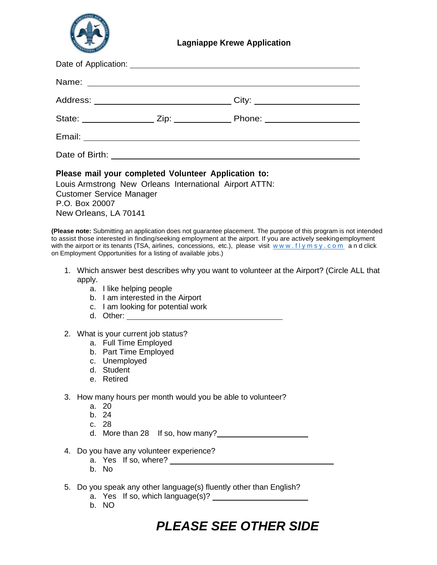

| Please mail your completed Volunteer Application to:<br>Louis Armstrong New Orleans International Airport ATTN:<br><b>Customer Service Manager</b><br>P.O. Box 20007<br>New Orleans, LA 70141 |  |  |
|-----------------------------------------------------------------------------------------------------------------------------------------------------------------------------------------------|--|--|

**(Please note:** Submitting an application does not guarantee placement. The purpose of this program is not intended to assist those interested in finding/seeking employment at the airport. If you are actively seekingemployment with the airport or its tenants (TSA, airlines, concessions, etc.), please visit www.flymsy.com and click on Employment Opportunities for a listing of available jobs.)

- 1. Which answer best describes why you want to volunteer at the Airport? (Circle ALL that apply.
	- a. I like helping people
	- b. I am interested in the Airport
	- c. I am looking for potential work
	- d. Other:
- 2. What is your current job status?
	- a. Full Time Employed
	- b. Part Time Employed
	- c. Unemployed
	- d. Student
	- e. Retired
- 3. How many hours per month would you be able to volunteer?
	- a. 20
	- b. 24
	- c. 28
	- d. More than 28 If so, how many?<br>
	<u>Letting</u>
- 4. Do you have any volunteer experience?
	- a. Yes If so, where?
	- b. No
- 5. Do you speak any other language(s) fluently other than English?
	- a. Yes If so, which language(s)?
	- b. NO